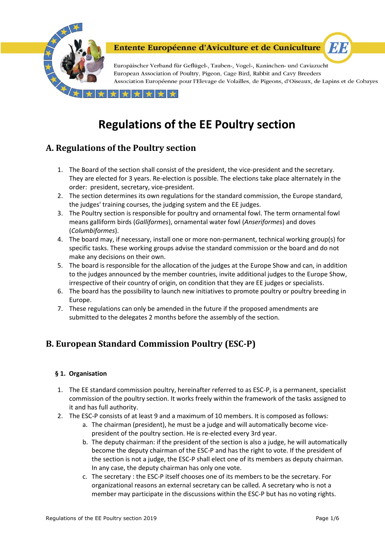

Europäischer Verband für Geflügel-, Tauben-, Vogel-, Kaninchen- und Caviazucht European Association of Poultry, Pigeon, Cage Bird, Rabbit and Cavy Breeders Association Européenne pour l'Elevage de Volailles, de Pigeons, d'Oiseaux, de Lapins et de Cobayes

EI B

 $+ +$ 

# **Regulations of the EE Poultry section**

# **A. Regulations of the Poultry section**

- 1. The Board of the section shall consist of the president, the vice-president and the secretary. They are elected for 3 years. Re-election is possible. The elections take place alternately in the order: president, secretary, vice-president.
- 2. The section determines its own regulations for the standard commission, the Europe standard, the judges' training courses, the judging system and the EE judges.
- 3. The Poultry section is responsible for poultry and ornamental fowl. The term ornamental fowl means galliform birds (*Galliformes*), ornamental water fowl (*Anseriformes*) and doves (*Columbiformes*).
- 4. The board may, if necessary, install one or more non-permanent, technical working group(s) for specific tasks. These working groups advise the standard commission or the board and do not make any decisions on their own.
- 5. The board is responsible for the allocation of the judges at the Europe Show and can, in addition to the judges announced by the member countries, invite additional judges to the Europe Show, irrespective of their country of origin, on condition that they are EE judges or specialists.
- 6. The board has the possibility to launch new initiatives to promote poultry or poultry breeding in Europe.
- 7. These regulations can only be amended in the future if the proposed amendments are submitted to the delegates 2 months before the assembly of the section.

# **B. European Standard Commission Poultry (ESC-P)**

# **§ 1. Organisation**

- 1. The EE standard commission poultry, hereinafter referred to as ESC-P, is a permanent, specialist commission of the poultry section. It works freely within the framework of the tasks assigned to it and has full authority.
- 2. The ESC-P consists of at least 9 and a maximum of 10 members. It is composed as follows:
	- a. The chairman (president), he must be a judge and will automatically become vicepresident of the poultry section. He is re-elected every 3rd year.
	- b. The deputy chairman: if the president of the section is also a judge, he will automatically become the deputy chairman of the ESC-P and has the right to vote. If the president of the section is not a judge, the ESC-P shall elect one of its members as deputy chairman. In any case, the deputy chairman has only one vote.
	- c. The secretary : the ESC-P itself chooses one of its members to be the secretary. For organizational reasons an external secretary can be called. A secretary who is not a member may participate in the discussions within the ESC-P but has no voting rights.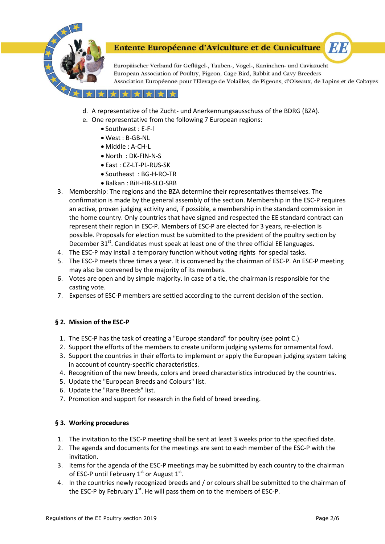

Europäischer Verband für Geflügel-, Tauben-, Vogel-, Kaninchen- und Caviazucht European Association of Poultry, Pigeon, Cage Bird, Rabbit and Cavy Breeders Association Européenne pour l'Elevage de Volailles, de Pigeons, d'Oiseaux, de Lapins et de Cobayes

**ET E** 

### \* \* \* \*

- d. A representative of the Zucht- und Anerkennungsausschuss of the BDRG (BZA).
- e. One representative from the following 7 European regions:
	- Southwest : E-F-l
	- West : B-GB-NL
	- Middle : A-CH-L
	- North : DK-FIN-N-S
	- East : CZ-LT-PL-RUS-SK
	- Southeast : BG-H-RO-TR
	- Balkan : BiH-HR-SLO-SRB
- 3. Membership: The regions and the BZA determine their representatives themselves. The confirmation is made by the general assembly of the section. Membership in the ESC-P requires an active, proven judging activity and, if possible, a membership in the standard commission in the home country. Only countries that have signed and respected the EE standard contract can represent their region in ESC-P. Members of ESC-P are elected for 3 years, re-election is possible. Proposals for election must be submitted to the president of the poultry section by December  $31<sup>st</sup>$ . Candidates must speak at least one of the three official EE languages.
- 4. The ESC-P may install a temporary function without voting rights for special tasks.
- 5. The ESC-P meets three times a year. It is convened by the chairman of ESC-P. An ESC-P meeting may also be convened by the majority of its members.
- 6. Votes are open and by simple majority. In case of a tie, the chairman is responsible for the casting vote.
- 7. Expenses of ESC-P members are settled according to the current decision of the section.

#### **§ 2. Mission of the ESC-P**

- 1. The ESC-P has the task of creating a "Europe standard" for poultry (see point C.)
- 2. Support the efforts of the members to create uniform judging systems for ornamental fowl.
- 3. Support the countries in their efforts to implement or apply the European judging system taking in account of country-specific characteristics.
- 4. Recognition of the new breeds, colors and breed characteristics introduced by the countries.
- 5. Update the "European Breeds and Colours" list.
- 6. Update the "Rare Breeds" list.
- 7. Promotion and support for research in the field of breed breeding.

#### **§ 3. Working procedures**

- 1. The invitation to the ESC-P meeting shall be sent at least 3 weeks prior to the specified date.
- 2. The agenda and documents for the meetings are sent to each member of the ESC-P with the invitation.
- 3. Items for the agenda of the ESC-P meetings may be submitted by each country to the chairman of ESC-P until February  $1<sup>st</sup>$  or August  $1<sup>st</sup>$ .
- 4. In the countries newly recognized breeds and / or colours shall be submitted to the chairman of the ESC-P by February  $1<sup>st</sup>$ . He will pass them on to the members of ESC-P.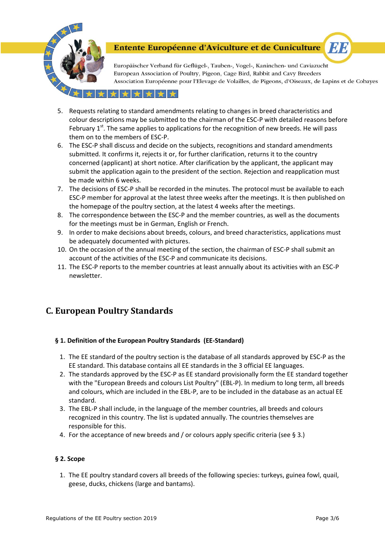

Europäischer Verband für Geflügel-, Tauben-, Vogel-, Kaninchen- und Caviazucht European Association of Poultry, Pigeon, Cage Bird, Rabbit and Cavy Breeders Association Européenne pour l'Elevage de Volailles, de Pigeons, d'Oiseaux, de Lapins et de Cobayes

**MA** 

### ★★★★

- 5. Requests relating to standard amendments relating to changes in breed characteristics and colour descriptions may be submitted to the chairman of the ESC-P with detailed reasons before February  $1<sup>st</sup>$ . The same applies to applications for the recognition of new breeds. He will pass them on to the members of ESC-P.
- 6. The ESC-P shall discuss and decide on the subjects, recognitions and standard amendments submitted. It confirms it, rejects it or, for further clarification, returns it to the country concerned (applicant) at short notice. After clarification by the applicant, the applicant may submit the application again to the president of the section. Rejection and reapplication must be made within 6 weeks.
- 7. The decisions of ESC-P shall be recorded in the minutes. The protocol must be available to each ESC-P member for approval at the latest three weeks after the meetings. It is then published on the homepage of the poultry section, at the latest 4 weeks after the meetings.
- 8. The correspondence between the ESC-P and the member countries, as well as the documents for the meetings must be in German, English or French.
- 9. In order to make decisions about breeds, colours, and breed characteristics, applications must be adequately documented with pictures.
- 10. On the occasion of the annual meeting of the section, the chairman of ESC-P shall submit an account of the activities of the ESC-P and communicate its decisions.
- 11. The ESC-P reports to the member countries at least annually about its activities with an ESC-P newsletter.

# **C. European Poultry Standards**

# **§ 1. Definition of the European Poultry Standards (EE-Standard)**

- 1. The EE standard of the poultry section is the database of all standards approved by ESC-P as the EE standard. This database contains all EE standards in the 3 official EE languages.
- 2. The standards approved by the ESC-P as EE standard provisionally form the EE standard together with the "European Breeds and colours List Poultry" (EBL-P). In medium to long term, all breeds and colours, which are included in the EBL-P, are to be included in the database as an actual EE standard.
- 3. The EBL-P shall include, in the language of the member countries, all breeds and colours recognized in this country. The list is updated annually. The countries themselves are responsible for this.
- 4. For the acceptance of new breeds and / or colours apply specific criteria (see § 3.)

#### **§ 2. Scope**

1. The EE poultry standard covers all breeds of the following species: turkeys, guinea fowl, quail, geese, ducks, chickens (large and bantams).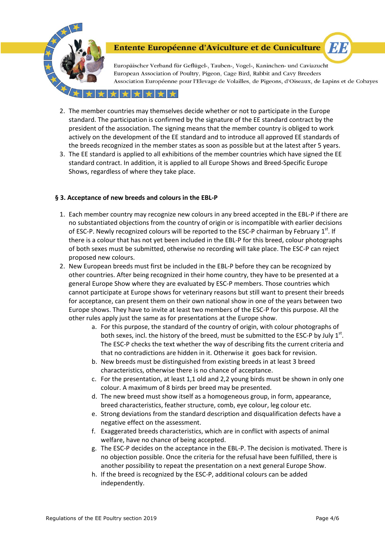

Europäischer Verband für Geflügel-, Tauben-, Vogel-, Kaninchen- und Caviazucht European Association of Poultry, Pigeon, Cage Bird, Rabbit and Cavy Breeders Association Européenne pour l'Elevage de Volailles, de Pigeons, d'Oiseaux, de Lapins et de Cobayes

**EVE** 

#### \*\*\*\*\*

- 2. The member countries may themselves decide whether or not to participate in the Europe standard. The participation is confirmed by the signature of the EE standard contract by the president of the association. The signing means that the member country is obliged to work actively on the development of the EE standard and to introduce all approved EE standards of the breeds recognized in the member states as soon as possible but at the latest after 5 years.
- 3. The EE standard is applied to all exhibitions of the member countries which have signed the EE standard contract. In addition, it is applied to all Europe Shows and Breed-Specific Europe Shows, regardless of where they take place.

#### **§ 3. Acceptance of new breeds and colours in the EBL-P**

- 1. Each member country may recognize new colours in any breed accepted in the EBL-P if there are no substantiated objections from the country of origin or is incompatible with earlier decisions of ESC-P. Newly recognized colours will be reported to the ESC-P chairman by February 1<sup>st</sup>. If there is a colour that has not yet been included in the EBL-P for this breed, colour photographs of both sexes must be submitted, otherwise no recording will take place. The ESC-P can reject proposed new colours.
- 2. New European breeds must first be included in the EBL-P before they can be recognized by other countries. After being recognized in their home country, they have to be presented at a general Europe Show where they are evaluated by ESC-P members. Those countries which cannot participate at Europe shows for veterinary reasons but still want to present their breeds for acceptance, can present them on their own national show in one of the years between two Europe shows. They have to invite at least two members of the ESC-P for this purpose. All the other rules apply just the same as for presentations at the Europe show.
	- a. For this purpose, the standard of the country of origin, with colour photographs of both sexes, incl. the history of the breed, must be submitted to the ESC-P by July  $1<sup>st</sup>$ . The ESC-P checks the text whether the way of describing fits the current criteria and that no contradictions are hidden in it. Otherwise it goes back for revision.
	- b. New breeds must be distinguished from existing breeds in at least 3 breed characteristics, otherwise there is no chance of acceptance.
	- c. For the presentation, at least 1,1 old and 2,2 young birds must be shown in only one colour. A maximum of 8 birds per breed may be presented.
	- d. The new breed must show itself as a homogeneous group, in form, appearance, breed characteristics, feather structure, comb, eye colour, leg colour etc.
	- e. Strong deviations from the standard description and disqualification defects have a negative effect on the assessment.
	- f. Exaggerated breeds characteristics, which are in conflict with aspects of animal welfare, have no chance of being accepted.
	- g. The ESC-P decides on the acceptance in the EBL-P. The decision is motivated. There is no objection possible. Once the criteria for the refusal have been fulfilled, there is another possibility to repeat the presentation on a next general Europe Show.
	- h. If the breed is recognized by the ESC-P, additional colours can be added independently.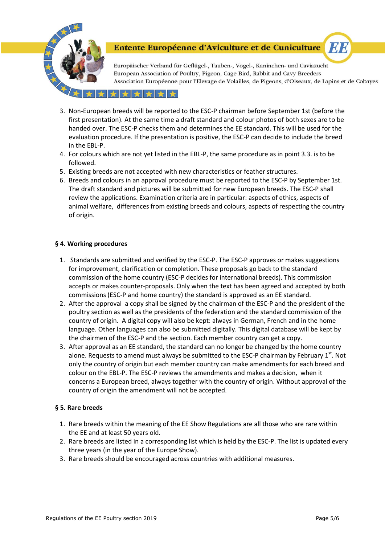

Europäischer Verband für Geflügel-, Tauben-, Vogel-, Kaninchen- und Caviazucht European Association of Poultry, Pigeon, Cage Bird, Rabbit and Cavy Breeders Association Européenne pour l'Elevage de Volailles, de Pigeons, d'Oiseaux, de Lapins et de Cobayes

**EN B** 

#### \*\*\*\*\*

- 3. Non-European breeds will be reported to the ESC-P chairman before September 1st (before the first presentation). At the same time a draft standard and colour photos of both sexes are to be handed over. The ESC-P checks them and determines the EE standard. This will be used for the evaluation procedure. If the presentation is positive, the ESC-P can decide to include the breed in the EBL-P.
- 4. For colours which are not yet listed in the EBL-P, the same procedure as in point 3.3. is to be followed.
- 5. Existing breeds are not accepted with new characteristics or feather structures.
- 6. Breeds and colours in an approval procedure must be reported to the ESC-P by September 1st. The draft standard and pictures will be submitted for new European breeds. The ESC-P shall review the applications. Examination criteria are in particular: aspects of ethics, aspects of animal welfare, differences from existing breeds and colours, aspects of respecting the country of origin.

#### **§ 4. Working procedures**

- 1. Standards are submitted and verified by the ESC-P. The ESC-P approves or makes suggestions for improvement, clarification or completion. These proposals go back to the standard commission of the home country (ESC-P decides for international breeds). This commission accepts or makes counter-proposals. Only when the text has been agreed and accepted by both commissions (ESC-P and home country) the standard is approved as an EE standard.
- 2. After the approval a copy shall be signed by the chairman of the ESC-P and the president of the poultry section as well as the presidents of the federation and the standard commission of the country of origin. A digital copy will also be kept: always in German, French and in the home language. Other languages can also be submitted digitally. This digital database will be kept by the chairmen of the ESC-P and the section. Each member country can get a copy.
- 3. After approval as an EE standard, the standard can no longer be changed by the home country alone. Requests to amend must always be submitted to the ESC-P chairman by February 1<sup>st</sup>. Not only the country of origin but each member country can make amendments for each breed and colour on the EBL-P. The ESC-P reviews the amendments and makes a decision, when it concerns a European breed, always together with the country of origin. Without approval of the country of origin the amendment will not be accepted.

# **§ 5. Rare breeds**

- 1. Rare breeds within the meaning of the EE Show Regulations are all those who are rare within the EE and at least 50 years old.
- 2. Rare breeds are listed in a corresponding list which is held by the ESC-P. The list is updated every three years (in the year of the Europe Show).
- 3. Rare breeds should be encouraged across countries with additional measures.